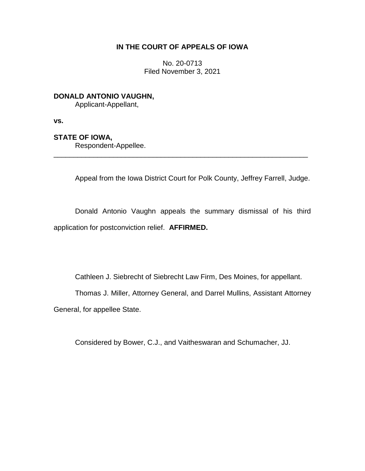## **IN THE COURT OF APPEALS OF IOWA**

No. 20-0713 Filed November 3, 2021

**DONALD ANTONIO VAUGHN,**

Applicant-Appellant,

**vs.**

## **STATE OF IOWA,**

Respondent-Appellee.

Appeal from the Iowa District Court for Polk County, Jeffrey Farrell, Judge.

Donald Antonio Vaughn appeals the summary dismissal of his third application for postconviction relief. **AFFIRMED.**

\_\_\_\_\_\_\_\_\_\_\_\_\_\_\_\_\_\_\_\_\_\_\_\_\_\_\_\_\_\_\_\_\_\_\_\_\_\_\_\_\_\_\_\_\_\_\_\_\_\_\_\_\_\_\_\_\_\_\_\_\_\_\_\_

Cathleen J. Siebrecht of Siebrecht Law Firm, Des Moines, for appellant.

Thomas J. Miller, Attorney General, and Darrel Mullins, Assistant Attorney

General, for appellee State.

Considered by Bower, C.J., and Vaitheswaran and Schumacher, JJ.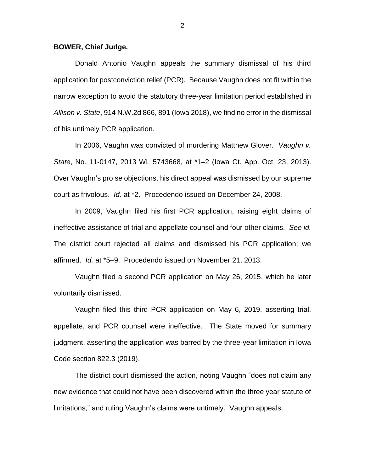## **BOWER, Chief Judge.**

Donald Antonio Vaughn appeals the summary dismissal of his third application for postconviction relief (PCR). Because Vaughn does not fit within the narrow exception to avoid the statutory three-year limitation period established in *Allison v. State*, 914 N.W.2d 866, 891 (Iowa 2018), we find no error in the dismissal of his untimely PCR application.

In 2006, Vaughn was convicted of murdering Matthew Glover. *Vaughn v. State*, No. 11-0147, 2013 WL 5743668, at \*1–2 (Iowa Ct. App. Oct. 23, 2013). Over Vaughn's pro se objections, his direct appeal was dismissed by our supreme court as frivolous. *Id.* at \*2. Procedendo issued on December 24, 2008.

In 2009, Vaughn filed his first PCR application, raising eight claims of ineffective assistance of trial and appellate counsel and four other claims. *See id.* The district court rejected all claims and dismissed his PCR application; we affirmed. *Id.* at \*5–9. Procedendo issued on November 21, 2013.

Vaughn filed a second PCR application on May 26, 2015, which he later voluntarily dismissed.

Vaughn filed this third PCR application on May 6, 2019, asserting trial, appellate, and PCR counsel were ineffective. The State moved for summary judgment, asserting the application was barred by the three-year limitation in Iowa Code section 822.3 (2019).

The district court dismissed the action, noting Vaughn "does not claim any new evidence that could not have been discovered within the three year statute of limitations," and ruling Vaughn's claims were untimely. Vaughn appeals.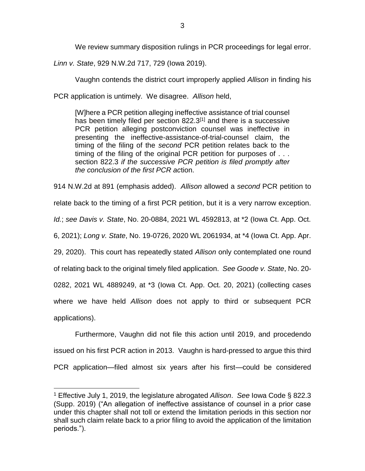We review summary disposition rulings in PCR proceedings for legal error.

*Linn v. State*, 929 N.W.2d 717, 729 (Iowa 2019).

Vaughn contends the district court improperly applied *Allison* in finding his

PCR application is untimely. We disagree. *Allison* held,

[W]here a PCR petition alleging ineffective assistance of trial counsel has been timely filed per section 822.3<sup>[1]</sup> and there is a successive PCR petition alleging postconviction counsel was ineffective in presenting the ineffective-assistance-of-trial-counsel claim, the timing of the filing of the *second* PCR petition relates back to the timing of the filing of the original PCR petition for purposes of . . . section 822.3 *if the successive PCR petition is filed promptly after the conclusion of the first PCR ac*tion.

914 N.W.2d at 891 (emphasis added). *Allison* allowed a *second* PCR petition to relate back to the timing of a first PCR petition, but it is a very narrow exception. *Id.*; *see Davis v. State*, No. 20-0884, 2021 WL 4592813, at \*2 (Iowa Ct. App. Oct. 6, 2021); *Long v. State*, No. 19-0726, 2020 WL 2061934, at \*4 (Iowa Ct. App. Apr. 29, 2020). This court has repeatedly stated *Allison* only contemplated one round of relating back to the original timely filed application. *See Goode v. State*, No. 20- 0282, 2021 WL 4889249, at \*3 (Iowa Ct. App. Oct. 20, 2021) (collecting cases where we have held *Allison* does not apply to third or subsequent PCR applications).

Furthermore, Vaughn did not file this action until 2019, and procedendo issued on his first PCR action in 2013. Vaughn is hard-pressed to argue this third PCR application—filed almost six years after his first—could be considered

 $\overline{a}$ 

<sup>1</sup> Effective July 1, 2019, the legislature abrogated *Allison*. *See* Iowa Code § 822.3 (Supp. 2019) ("An allegation of ineffective assistance of counsel in a prior case under this chapter shall not toll or extend the limitation periods in this section nor shall such claim relate back to a prior filing to avoid the application of the limitation periods.").